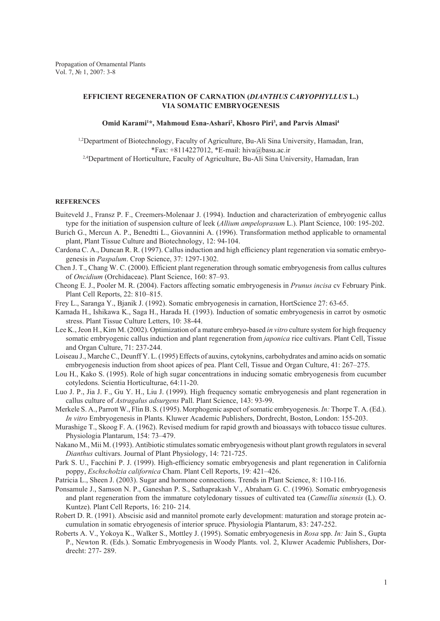## **EFFICIENT REGENERATION OF CARNATION (***DIANTHUS CARYOPHYLLUS* **L.) VIA SOMATIC EMBRYOGENESIS**

## Omid Karami<sup>1\*</sup>, Mahmoud Esna-Ashari<sup>2</sup>, Khosro Piri<sup>3</sup>, and Parvis Almasi<sup>4</sup>

1,2Department of Biotechnology, Faculty of Agriculture, Bu-Ali Sina University, Hamadan, Iran, \*Fax: +8114227012, \*E-mail: hiva@basu.ac.ir <sup>2,4</sup>Department of Horticulture, Faculty of Agriculture, Bu-Ali Sina University, Hamadan, Iran

## **References**

- Buiteveld J., Fransz P. F., Creemers-Molenaar J. (1994). Induction and characterization of embryogenic callus type for the initiation of suspension culture of leek (*Allium ampeloprasum* L.). Plant Science, 100: 195-202.
- Burich G., Mercun A. P., Benedtti L., Giovannini A. (1996). Transformation method applicable to ornamental plant, Plant Tissue Culture and Biotechnology, 12: 94-104.
- Cardona C. A., Duncan R. R. (1997). Callus induction and high efficiency plant regeneration via somatic embryogenesis in *Paspalum*. Crop Science, 37: 1297-1302.
- Chen J. T., Chang W. C. (2000). Efficient plant regeneration through somatic embryogenesis from callus cultures of *Oncidium* (Orchidaceae). Plant Science, 160: 87–93.
- Cheong E. J., Pooler M. R. (2004). Factors affecting somatic embryogenesis in *Prunus incisa* cv February Pink. Plant Cell Reports, 22: 810–815.
- Frey L., Saranga Y., Bjanik J. (1992). Somatic embryogenesis in carnation, HortScience 27: 63-65.
- Kamada H., Ishikawa K., Saga H., Harada H. (1993). Induction of somatic embryogenesis in carrot by osmotic stress. Plant Tissue Culture Letters, 10: 38-44.
- Lee K., Jeon H., Kim M. (2002). Optimization of a mature embryo-based *in vitro* culture system for high frequency somatic embryogenic callus induction and plant regeneration from *japonica* rice cultivars. Plant Cell, Tissue and Organ Culture, 71: 237-244.
- Loiseau J., Marche C., Deunff Y. L. (1995) Effects of auxins, cytokynins, carbohydrates and amino acids on somatic embryogenesis induction from shoot apices of pea. Plant Cell, Tissue and Organ Culture, 41: 267–275.
- Lou H., Kako S. (1995). Role of high sugar concentrations in inducing somatic embryogenesis from cucumber cotyledons. Scientia Horticulturae, 64:11-20.
- Luo J. P., Jia J. F., Gu Y. H., Liu J. (1999). High frequency somatic embryogenesis and plant regeneration in callus culture of *Astragalus adsurgens* Pall. Plant Science, 143: 93-99.
- Merkele S. A., Parrott W., Flin B. S. (1995). Morphogenic aspect of somatic embryogenesis. *In:* Thorpe T. A. (Ed.). *In vitro* Embryogenesis in Plants. Kluwer Academic Publishers, Dordrecht, Boston, London: 155-203.
- Murashige T., Skoog F. A. (1962). Revised medium for rapid growth and bioassays with tobacco tissue cultures. Physiologia Plantarum, 154: 73–479.
- Nakano M., Mii M. (1993). Antibiotic stimulates somatic embryogenesis without plant growth regulators in several *Dianthus* cultivars. Journal of Plant Physiology, 14: 721-725.
- Park S. U., Facchini P. J. (1999). High-efficiency somatic embryogenesis and plant regeneration in California poppy, *Eschscholzia californica* Cham. Plant Cell Reports, 19: 421–426.
- Patricia L., Sheen J. (2003). Sugar and hormone connections. Trends in Plant Science, 8: 110-116.
- Ponsamule J., Samson N. P., Ganeshan P. S., Sathaprakash V., Abraham G. C. (1996). Somatic embryogenesis and plant regeneration from the immature cotyledonary tissues of cultivated tea (*Camellia sinensis* (L). O. Kuntze). Plant Cell Reports, 16: 210- 214.
- Robert D. R. (1991). Abscisic asid and mannitol promote early development: maturation and storage protein accumulation in somatic ebryogenesis of interior spruce. Physiologia Plantarum, 83: 247-252.
- Roberts A. V., Yokoya K., Walker S., Mottley J. (1995). Somatic embryogenesis in *Rosa* spp. *In:* Jain S., Gupta P., Newton R. (Eds.). Somatic Embryogenesis in Woody Plants. vol. 2, Kluwer Academic Publishers, Dordrecht: 277- 289.